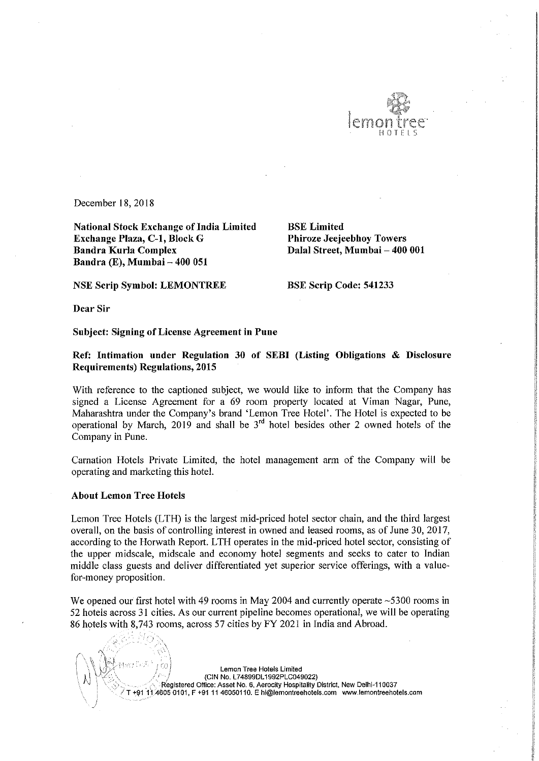

December 18, 2018

National Stock Exchange of India Limited<br> **Exchange Plaza, C-1, Block G** Phiroze Jeejeebhoy Towers Exchange Plaza, C-1, Block G<br>Bandra Kurla Complex Bandra Kurla Complex Dalal Street, Mumbai — 400 001 Bandra (E), Mumbai — 400 051

NSE Scrip Symbol: LEMONTREE BSE Scrip Code: 541233

Dear Sir

Subject: Signing of License Agreement in Pune

Ref: Intimation under Regulation <sup>30</sup> of SEBI (Listing Obligations & Disclosure Requirements) Regulations, 2015

With reference to the captioned subject, we would like to inform that the Company has signed <sup>a</sup> License Agreement for <sup>a</sup> 69 room property located at Viman Nagar, Pune, Maharashtra under the Company's brand 'Lemon Tree Hotel'. The Hotel is expected to be operational by March, 2019 and shall be  $3<sup>rd</sup>$  hotel besides other 2 owned hotels of the Company in Pune.

Carnation Hotels Private Limited, the hotel management arm of the Company will be operating and marketing this hotel.

## About Lemon Tree Hotels

Lemon Tree Hotels (LTH) is the largest mid-priced hotel sector chain, and the third largest overall, on the basis of controlling interest in owned and leased rooms, as of June 30, 2017, according to the Horwath Report. LTH operates in the mid-priced hotel sector, consisting of the upper midscale, midscale and economy hotel segments and seeks to cater to Indian middle class guests and deliver differentiated yet superior service offerings, with <sup>a</sup> valuefor~money proposition.

We opened our first hotel with 49 rooms in May 2004 and currently operate ~5300 rooms in <sup>52</sup> hotels across <sup>31</sup> cities. As our current pipeline becomes operational, we will be operating <sup>86</sup> hotels with 8,743 rooms, across <sup>57</sup> cities by FY <sup>2021</sup> in India and Abroad.

' ' ' i ' Lemon Tree Hotels Limited 9" ' / (CIN No L748990L1992PLCO49022) Registered Office: Asset No. 6, Aerocity Hospitality District, New Delhi-110037 A605 0101, F +91 11 46050110. E hi@lemontreehotels.com www.lemontreehotels.com